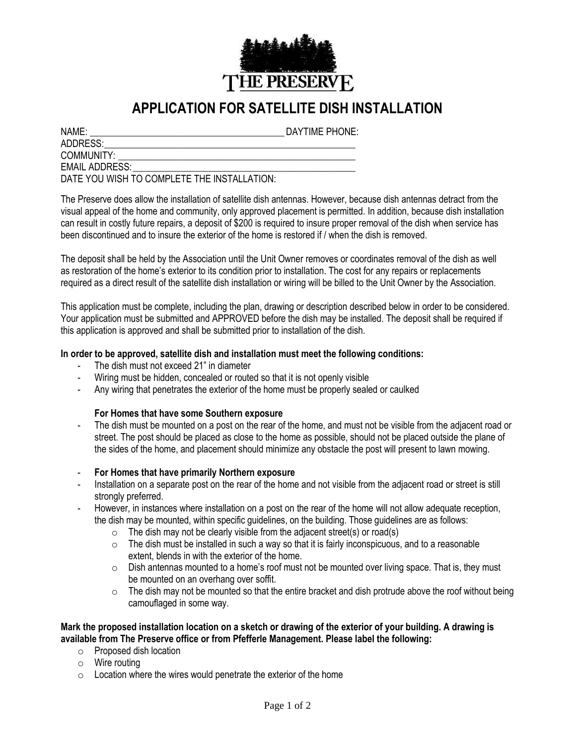

# **APPLICATION FOR SATELLITE DISH INSTALLATION**

ADDRESS:

NAME:  $\blacksquare$ 

COMMUNITY:

EMAIL ADDRESS:

DATE YOU WISH TO COMPLETE THE INSTALLATION:

The Preserve does allow the installation of satellite dish antennas. However, because dish antennas detract from the visual appeal of the home and community, only approved placement is permitted. In addition, because dish installation can result in costly future repairs, a deposit of \$200 is required to insure proper removal of the dish when service has been discontinued and to insure the exterior of the home is restored if / when the dish is removed.

The deposit shall be held by the Association until the Unit Owner removes or coordinates removal of the dish as well as restoration of the home's exterior to its condition prior to installation. The cost for any repairs or replacements required as a direct result of the satellite dish installation or wiring will be billed to the Unit Owner by the Association.

This application must be complete, including the plan, drawing or description described below in order to be considered. Your application must be submitted and APPROVED before the dish may be installed. The deposit shall be required if this application is approved and shall be submitted prior to installation of the dish.

## **In order to be approved, satellite dish and installation must meet the following conditions:**

- The dish must not exceed 21" in diameter
- Wiring must be hidden, concealed or routed so that it is not openly visible
- Any wiring that penetrates the exterior of the home must be properly sealed or caulked

## **For Homes that have some Southern exposure**

- The dish must be mounted on a post on the rear of the home, and must not be visible from the adjacent road or street. The post should be placed as close to the home as possible, should not be placed outside the plane of the sides of the home, and placement should minimize any obstacle the post will present to lawn mowing.
- **For Homes that have primarily Northern exposure**
- Installation on a separate post on the rear of the home and not visible from the adjacent road or street is still strongly preferred.
- However, in instances where installation on a post on the rear of the home will not allow adequate reception, the dish may be mounted, within specific guidelines, on the building. Those guidelines are as follows:
	- $\circ$  The dish may not be clearly visible from the adjacent street(s) or road(s)
	- $\circ$  The dish must be installed in such a way so that it is fairly inconspicuous, and to a reasonable extent, blends in with the exterior of the home.
	- $\circ$  Dish antennas mounted to a home's roof must not be mounted over living space. That is, they must be mounted on an overhang over soffit.
	- $\circ$  The dish may not be mounted so that the entire bracket and dish protrude above the roof without being camouflaged in some way.

## **Mark the proposed installation location on a sketch or drawing of the exterior of your building. A drawing is available from The Preserve office or from Pfefferle Management. Please label the following:**

- o Proposed dish location
- o Wire routing
- $\circ$  Location where the wires would penetrate the exterior of the home